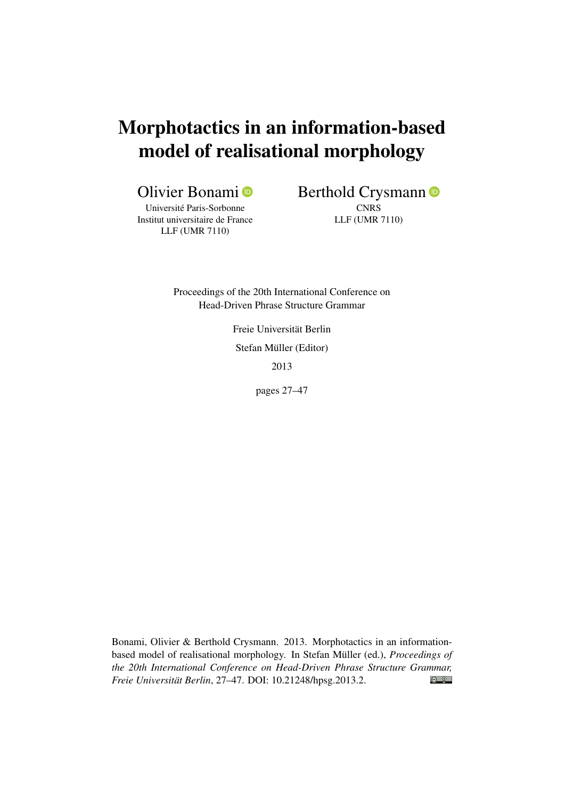# Morphotactics in an information-based model of realisational morphology

Olivier Bonami

Université Paris-Sorbonne Institut universitaire de France LLF (UMR 7110)

Berthold Crysmann  $\bullet$ **CNRS** 

LLF (UMR 7110)

Proceedings of the 20th International Conference on Head-Driven Phrase Structure Grammar

> Freie Universität Berlin Stefan Müller (Editor) 2013

> > pages 27–47

Bonami, Olivier & Berthold Crysmann. 2013. Morphotactics in an informationbased model of realisational morphology. In Stefan Müller (ed.), *Proceedings of the 20th International Conference on Head-Driven Phrase Structure Grammar,*  $\odot$   $\odot$ *Freie Universität Berlin*, 27–47. DOI: [10.21248/hpsg.2013.2.](http://doi.org/10.21248/hpsg.2013.2)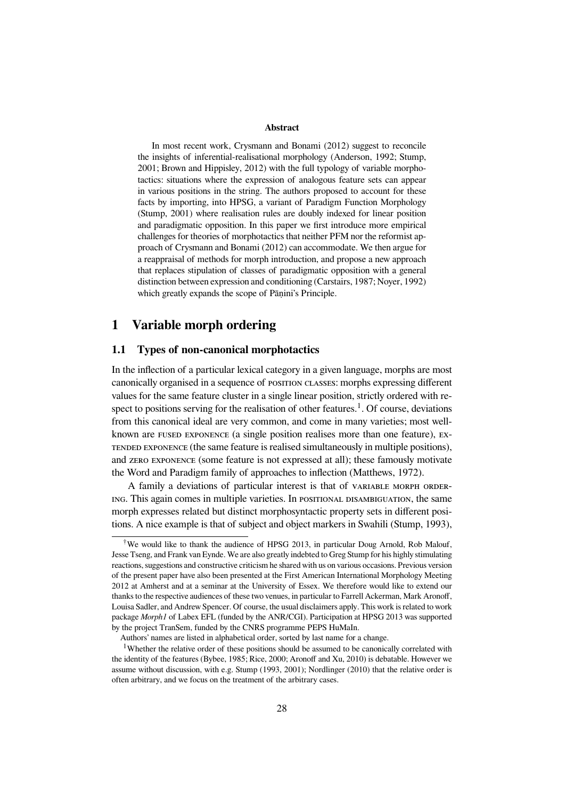#### **Abstract**

In most recent work, Crysmann and Bonami (2012) suggest to reconcile the insights of inferential-realisational morphology (Anderson, 1992; Stump, 2001; Brown and Hippisley, 2012) with the full typology of variable morphotactics: situations where the expression of analogous feature sets can appear in various positions in the string. The authors proposed to account for these facts by importing, into HPSG, a variant of Paradigm Function Morphology (Stump, 2001) where realisation rules are doubly indexed for linear position and paradigmatic opposition. In this paper we first introduce more empirical challenges for theories of morphotactics that neither PFM nor the reformist approach of Crysmann and Bonami (2012) can accommodate. We then argue for a reappraisal of methods for morph introduction, and propose a new approach that replaces stipulation of classes of paradigmatic opposition with a general distinction between expression and conditioning (Carstairs, 1987; Noyer, 1992) which greatly expands the scope of Pānini's Principle.

## **1 Variable morph ordering**

#### **1.1 Types of non-canonical morphotactics**

In the inflection of a particular lexical category in a given language, morphs are most canonically organised in a sequence of postrion classes: morphs expressing different values for the same feature cluster in a single linear position, strictly ordered with respect to positions serving for the realisation of other features.<sup>1</sup>. Of course, deviations from this canonical ideal are very common, and come in many varieties; most wellknown are  $F^{X}$  exponence (a single position realises more than one feature),  $F^{X}$ TENDED EXPONENCE (the same feature is realised simultaneously in multiple positions), and ZERO EXPONENCE (some feature is not expressed at all); these famously motivate the Word and Paradigm family of approaches to inflection (Matthews, 1972).

A family a deviations of particular interest is that of VARIABLE MORPH ORDER-ING. This again comes in multiple varieties. In POSITIONAL DISAMBIGUATION, the same morph expresses related but distinct morphosyntactic property sets in different positions. A nice example is that of subject and object markers in Swahili (Stump, 1993),

<sup>†</sup>We would like to thank the audience of HPSG 2013, in particular Doug Arnold, Rob Malouf, Jesse Tseng, and Frank van Eynde. We are also greatly indebted to Greg Stump for his highly stimulating reactions, suggestions and constructive criticism he shared with us on various occasions. Previous version of the present paper have also been presented at the First American International Morphology Meeting 2012 at Amherst and at a seminar at the University of Essex. We therefore would like to extend our thanks to the respective audiences of these two venues, in particular to Farrell Ackerman, Mark Aronoff, Louisa Sadler, and Andrew Spencer. Of course, the usual disclaimers apply. This work is related to work package *Morph1* of Labex EFL (funded by the ANR/CGI). Participation at HPSG 2013 was supported by the project TranSem, funded by the CNRS programme PEPS HuMaIn.

Authors' names are listed in alphabetical order, sorted by last name for a change.

<sup>&</sup>lt;sup>1</sup>Whether the relative order of these positions should be assumed to be canonically correlated with the identity of the features (Bybee, 1985; Rice, 2000; Aronoff and Xu, 2010) is debatable. However we assume without discussion, with e.g. Stump (1993, 2001); Nordlinger (2010) that the relative order is often arbitrary, and we focus on the treatment of the arbitrary cases.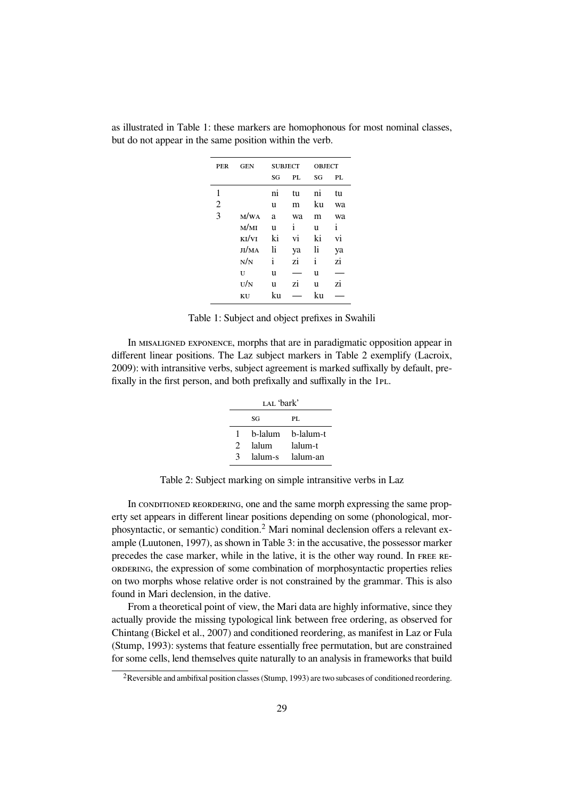| PER | <b>GEN</b> |    | <b>SUBJECT</b> |    | <b>OBJECT</b> |  |  |
|-----|------------|----|----------------|----|---------------|--|--|
|     |            | SG | PL             | SG | PL            |  |  |
| 1   |            | ni | tu             | ni | tu            |  |  |
| 2   |            | u  | m              | ku | wa            |  |  |
| 3   | M/WA       | a  | wa             | m  | wa            |  |  |
|     | M/MI       | u  | i              | u  | i             |  |  |
|     | KI/VI      | ki | vi             | ki | vi            |  |  |
|     | JI/MA      | li | ya             | li | ya            |  |  |
|     | N/N        | i  | zi             | i  | zi            |  |  |
|     | U          | u  |                | u  |               |  |  |
|     | U/N        | u  | zi             | u  | zi            |  |  |
|     | KU         | ku |                | ku |               |  |  |

as illustrated in Table 1: these markers are homophonous for most nominal classes, but do not appear in the same position within the verb.

Table 1: Subject and object prefixes in Swahili

In MISALIGNED EXPONENCE, morphs that are in paradigmatic opposition appear in different linear positions. The Laz subject markers in Table 2 exemplify (Lacroix, 2009): with intransitive verbs, subject agreement is marked suffixally by default, prefixally in the first person, and both prefixally and suffixally in the 1<sub>PL</sub>.

| LAL 'bark' |         |           |  |  |  |
|------------|---------|-----------|--|--|--|
| SG<br>PL.  |         |           |  |  |  |
| 1          | b-lalum | b-lalum-t |  |  |  |
| 2          | lalum   | lalum-t   |  |  |  |
| 3          | lalum-s | lalum-an  |  |  |  |

Table 2: Subject marking on simple intransitive verbs in Laz

In CONDITIONED REORDERING, one and the same morph expressing the same property set appears in different linear positions depending on some (phonological, morphosyntactic, or semantic) condition.<sup>2</sup> Mari nominal declension offers a relevant example (Luutonen, 1997), as shown in Table 3: in the accusative, the possessor marker precedes the case marker, while in the lative, it is the other way round. In FREE RE-ORDERING, the expression of some combination of morphosyntactic properties relies on two morphs whose relative order is not constrained by the grammar. This is also found in Mari declension, in the dative.

From a theoretical point of view, the Mari data are highly informative, since they actually provide the missing typological link between free ordering, as observed for Chintang (Bickel et al., 2007) and conditioned reordering, as manifest in Laz or Fula (Stump, 1993): systems that feature essentially free permutation, but are constrained for some cells, lend themselves quite naturally to an analysis in frameworks that build

 ${}^{2}$ Reversible and ambifixal position classes (Stump, 1993) are two subcases of conditioned reordering.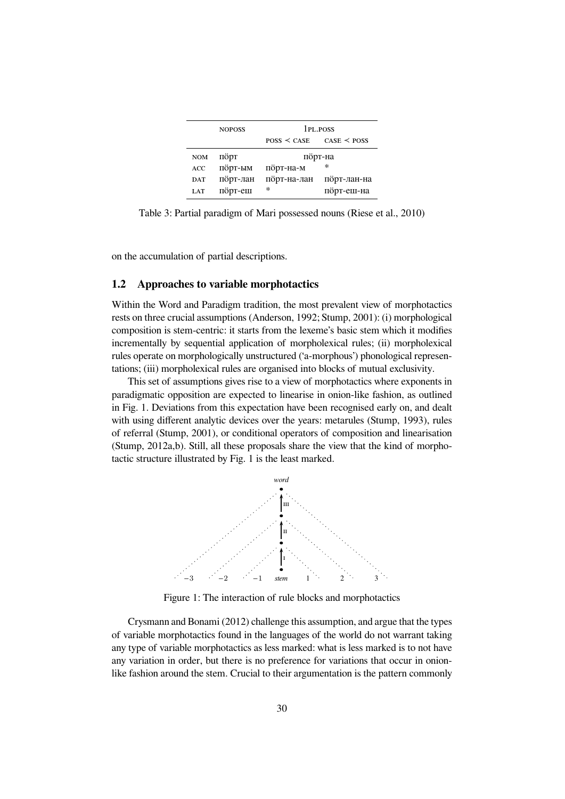|            | <b>NOPOSS</b> | 1 <sub>PL</sub> POSS |             |  |
|------------|---------------|----------------------|-------------|--|
|            |               | $Poss <$ CASE        | CASE < POSS |  |
| <b>NOM</b> | порт          |                      | порт-на     |  |
| ACC        | порт-ым       | порт-на-м            | *           |  |
| <b>DAT</b> | порт-лан      | порт-на-лан          | порт-лан-на |  |
| <b>LAT</b> | порт-еш       | $\ast$               | порт-еш-на  |  |

Table 3: Partial paradigm of Mari possessed nouns (Riese et al., 2010)

on the accumulation of partial descriptions.

#### **1.2 Approaches to variable morphotactics**

Within the Word and Paradigm tradition, the most prevalent view of morphotactics rests on three crucial assumptions (Anderson, 1992; Stump, 2001): (i) morphological composition is stem-centric: it starts from the lexeme's basic stem which it modifies incrementally by sequential application of morpholexical rules; (ii) morpholexical rules operate on morphologically unstructured ('a-morphous') phonological representations; (iii) morpholexical rules are organised into blocks of mutual exclusivity.

This set of assumptions gives rise to a view of morphotactics where exponents in paradigmatic opposition are expected to linearise in onion-like fashion, as outlined in Fig. 1. Deviations from this expectation have been recognised early on, and dealt with using different analytic devices over the years: metarules (Stump, 1993), rules of referral (Stump, 2001), or conditional operators of composition and linearisation (Stump, 2012a,b). Still, all these proposals share the view that the kind of morphotactic structure illustrated by Fig. 1 is the least marked.



Figure 1: The interaction of rule blocks and morphotactics

Crysmann and Bonami (2012) challenge this assumption, and argue that the types of variable morphotactics found in the languages of the world do not warrant taking any type of variable morphotactics as less marked: what is less marked is to not have any variation in order, but there is no preference for variations that occur in onionlike fashion around the stem. Crucial to their argumentation is the pattern commonly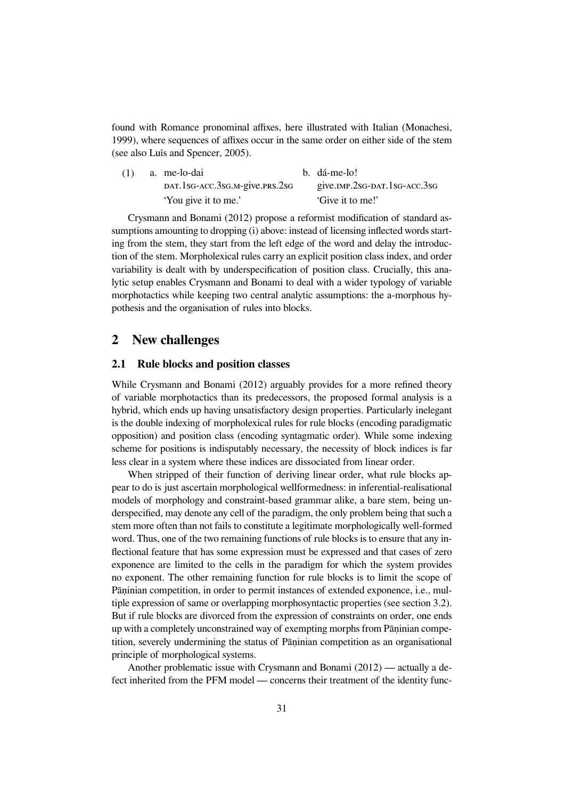found with Romance pronominal affixes, here illustrated with Italian (Monachesi, 1999), where sequences of affixes occur in the same order on either side of the stem (see also Luís and Spencer, 2005).

| (1) | a. me-lo-dai                   | b. dá-me-lo!                 |
|-----|--------------------------------|------------------------------|
|     | DAT.1sG-ACC.3sG.M-give.prs.2sG | give.IMP.2sG-DAT.1sG-ACC.3sG |
|     | 'You give it to me.'           | 'Give it to me!'             |

Crysmann and Bonami (2012) propose a reformist modification of standard assumptions amounting to dropping (i) above: instead of licensing inflected words starting from the stem, they start from the left edge of the word and delay the introduction of the stem. Morpholexical rules carry an explicit position class index, and order variability is dealt with by underspecification of position class. Crucially, this analytic setup enables Crysmann and Bonami to deal with a wider typology of variable morphotactics while keeping two central analytic assumptions: the a-morphous hypothesis and the organisation of rules into blocks.

## **2 New challenges**

#### **2.1 Rule blocks and position classes**

While Crysmann and Bonami (2012) arguably provides for a more refined theory of variable morphotactics than its predecessors, the proposed formal analysis is a hybrid, which ends up having unsatisfactory design properties. Particularly inelegant is the double indexing of morpholexical rules for rule blocks (encoding paradigmatic opposition) and position class (encoding syntagmatic order). While some indexing scheme for positions is indisputably necessary, the necessity of block indices is far less clear in a system where these indices are dissociated from linear order.

When stripped of their function of deriving linear order, what rule blocks appear to do is just ascertain morphological wellformedness: in inferential-realisational models of morphology and constraint-based grammar alike, a bare stem, being underspecified, may denote any cell of the paradigm, the only problem being that such a stem more often than not fails to constitute a legitimate morphologically well-formed word. Thus, one of the two remaining functions of rule blocks is to ensure that any inflectional feature that has some expression must be expressed and that cases of zero exponence are limited to the cells in the paradigm for which the system provides no exponent. The other remaining function for rule blocks is to limit the scope of Pāninian competition, in order to permit instances of extended exponence, i.e., multiple expression of same or overlapping morphosyntactic properties (see section 3.2). But if rule blocks are divorced from the expression of constraints on order, one ends up with a completely unconstrained way of exempting morphs from Pāninian competition, severely undermining the status of Pāṇinian competition as an organisational principle of morphological systems.

Another problematic issue with Crysmann and Bonami (2012) — actually a defect inherited from the PFM model — concerns their treatment of the identity func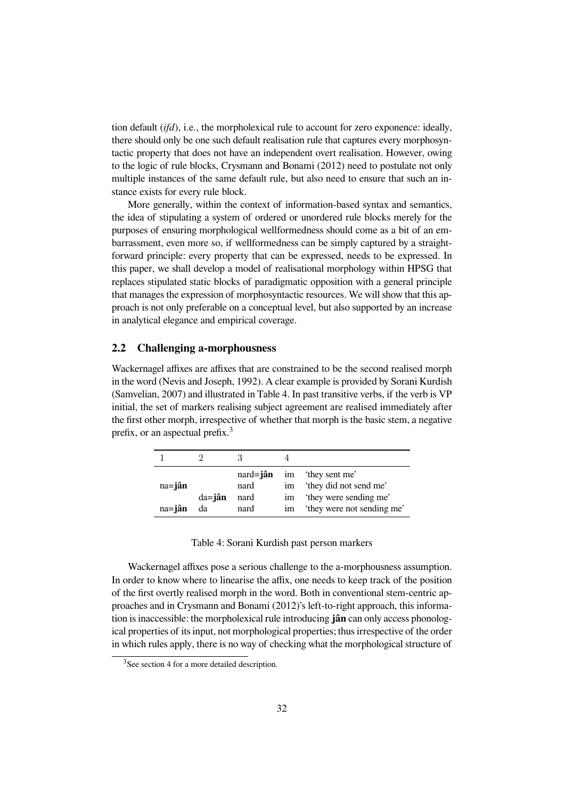tion default (*ifd*), i.e., the morpholexical rule to account for zero exponence: ideally, there should only be one such default realisation rule that captures every morphosyntactic property that does not have an independent overt realisation. However, owing to the logic of rule blocks, Crysmann and Bonami (2012) need to postulate not only multiple instances of the same default rule, but also need to ensure that such an instance exists for every rule block.

More generally, within the context of information-based syntax and semantics, the idea of stipulating a system of ordered or unordered rule blocks merely for the purposes of ensuring morphological wellformedness should come as a bit of an embarrassment, even more so, if wellformedness can be simply captured by a straightforward principle: every property that can be expressed, needs to be expressed. In this paper, we shall develop a model of realisational morphology within HPSG that replaces stipulated static blocks of paradigmatic opposition with a general principle that manages the expression of morphosyntactic resources. We will show that this approach is not only preferable on a conceptual level, but also supported by an increase in analytical elegance and empirical coverage.

#### **2.2 Challenging a-morphousness**

Wackernagel affixes are affixes that are constrained to be the second realised morph in the word (Nevis and Joseph, 1992). A clear example is provided by Sorani Kurdish (Samvelian, 2007) and illustrated in Table 4. In past transitive verbs, if the verb is VP initial, the set of markers realising subject agreement are realised immediately after the first other morph, irrespective of whether that morph is the basic stem, a negative prefix, or an aspectual prefix.<sup>3</sup>

|                |             | $nard = i$ ân |                | im they sent me'           |
|----------------|-------------|---------------|----------------|----------------------------|
| $na = j$ ân    |             | nard          | 1 <sub>m</sub> | 'they did not send me'     |
|                | $da = j$ ân | nard          | 1 <sub>m</sub> | 'they were sending me'     |
| na= <b>jân</b> | da          | nard          | 1 <sub>m</sub> | 'they were not sending me' |

Table 4: Sorani Kurdish past person markers

Wackernagel affixes pose a serious challenge to the a-morphousness assumption. In order to know where to linearise the affix, one needs to keep track of the position of the first overtly realised morph in the word. Both in conventional stem-centric approaches and in Crysmann and Bonami (2012)'s left-to-right approach, this information is inaccessible: the morpholexical rule introducing **jân** can only access phonological properties of its input, not morphological properties; thus irrespective of the order in which rules apply, there is no way of checking what the morphological structure of

<sup>&</sup>lt;sup>3</sup>See section 4 for a more detailed description.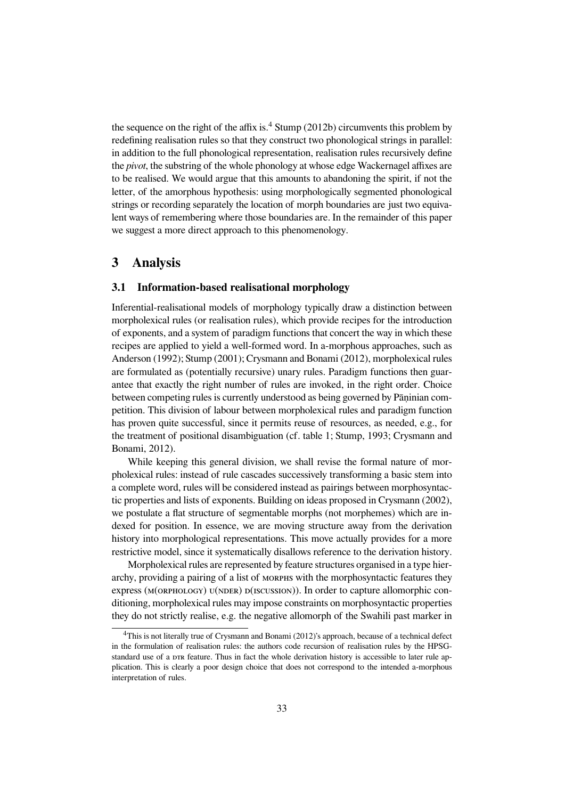the sequence on the right of the affix is.<sup>4</sup> Stump (2012b) circumvents this problem by redefining realisation rules so that they construct two phonological strings in parallel: in addition to the full phonological representation, realisation rules recursively define the *pivot*, the substring of the whole phonology at whose edge Wackernagel affixes are to be realised. We would argue that this amounts to abandoning the spirit, if not the letter, of the amorphous hypothesis: using morphologically segmented phonological strings or recording separately the location of morph boundaries are just two equivalent ways of remembering where those boundaries are. In the remainder of this paper we suggest a more direct approach to this phenomenology.

## **3 Analysis**

### **3.1 Information-based realisational morphology**

Inferential-realisational models of morphology typically draw a distinction between morpholexical rules (or realisation rules), which provide recipes for the introduction of exponents, and a system of paradigm functions that concert the way in which these recipes are applied to yield a well-formed word. In a-morphous approaches, such as Anderson (1992); Stump (2001); Crysmann and Bonami (2012), morpholexical rules are formulated as (potentially recursive) unary rules. Paradigm functions then guarantee that exactly the right number of rules are invoked, in the right order. Choice between competing rules is currently understood as being governed by Pāṇinian competition. This division of labour between morpholexical rules and paradigm function has proven quite successful, since it permits reuse of resources, as needed, e.g., for the treatment of positional disambiguation (cf. table 1; Stump, 1993; Crysmann and Bonami, 2012).

While keeping this general division, we shall revise the formal nature of morpholexical rules: instead of rule cascades successively transforming a basic stem into a complete word, rules will be considered instead as pairings between morphosyntactic properties and lists of exponents. Building on ideas proposed in Crysmann (2002), we postulate a flat structure of segmentable morphs (not morphemes) which are indexed for position. In essence, we are moving structure away from the derivation history into morphological representations. This move actually provides for a more restrictive model, since it systematically disallows reference to the derivation history.

Morpholexical rules are represented by feature structures organised in a type hierarchy, providing a pairing of a list of MORPHS with the morphosyntactic features they express (M(οRPHOLOGY) ∪(NDER) p(ISCUSSION)). In order to capture allomorphic conditioning, morpholexical rules may impose constraints on morphosyntactic properties they do not strictly realise, e.g. the negative allomorph of the Swahili past marker in

 $4$ This is not literally true of Crysmann and Bonami (2012)'s approach, because of a technical defect in the formulation of realisation rules: the authors code recursion of realisation rules by the HPSGstandard use of a DTR feature. Thus in fact the whole derivation history is accessible to later rule application. This is clearly a poor design choice that does not correspond to the intended a-morphous interpretation of rules.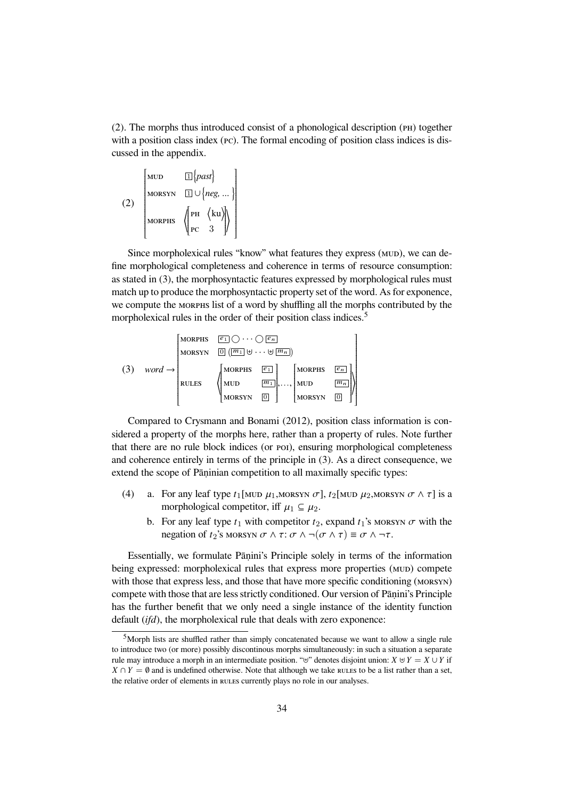$(2)$ . The morphs thus introduced consist of a phonological description ( $\overline{PB}$ ) together with a position class index (PC). The formal encoding of position class indices is discussed in the appendix.

(2) 
$$
\begin{bmatrix} \text{MUD} & \boxed{1} \{past \} \\ \text{MORSYN} & \boxed{1} \cup \{ neg, \dots \} \\ \text{MORPHS} & \left( \begin{bmatrix} \text{PH} & \langle \text{ku} \rangle \\ \text{PC} & 3 \end{bmatrix} \right) \end{bmatrix}
$$

Since morpholexical rules "know" what features they express (MUD), we can define morphological completeness and coherence in terms of resource consumption: as stated in (3), the morphosyntactic features expressed by morphological rules must match up to produce the morphosyntactic property set of the word. As for exponence, we compute the MORPHS list of a word by shuffling all the morphs contributed by the morpholexical rules in the order of their position class indices.<sup>5</sup>

$$
(3) \quad word \rightarrow\n\begin{bmatrix}\n\text{MORPHS} & \boxed{e_1} \bigcirc \cdots \bigcirc \boxed{e_n} \\
\text{MORYN} & \boxed{0} \left( \boxed{m_1} \uplus \cdots \uplus \boxed{m_n} \right) \\
\text{NORYN} & \boxed{e_1} \\
\text{RULES} & \left(\begin{bmatrix}\n\text{MORPHS} & \boxed{e_1} \\
\text{MUD} & \boxed{m_1} \\
\text{MORYN} & \boxed{0}\n\end{bmatrix}, \dots, \begin{bmatrix}\n\text{MORPHS} & \boxed{e_n} \\
\text{MUD} & \boxed{m_n} \\
\text{MORSYN} & \boxed{0}\n\end{bmatrix}\n\right)
$$

Compared to Crysmann and Bonami (2012), position class information is considered a property of the morphs here, rather than a property of rules. Note further that there are no rule block indices (or poi), ensuring morphological completeness and coherence entirely in terms of the principle in (3). As a direct consequence, we extend the scope of Pāṇinian competition to all maximally specific types:

- (4) a. For any leaf type  $t_1$ [MUD  $\mu_1$ , MORSYN  $\sigma$ ],  $t_2$ [MUD  $\mu_2$ , MORSYN  $\sigma \wedge \tau$ ] is a morphological competitor, iff  $\mu_1 \subseteq \mu_2$ .
	- b. For any leaf type  $t_1$  with competitor  $t_2$ , expand  $t_1$ 's MORSYN  $\sigma$  with the negation of  $t_2$ 's MORSYN  $\sigma \wedge \tau$ :  $\sigma \wedge \neg(\sigma \wedge \tau) \equiv \sigma \wedge \neg \tau$ .

Essentially, we formulate Pāṇini's Principle solely in terms of the information being expressed: morpholexical rules that express more properties (MUD) compete with those that express less, and those that have more specific conditioning (MORSYN) compete with those that are less strictly conditioned. Our version of Pāṇini's Principle has the further benefit that we only need a single instance of the identity function default (*ifd*), the morpholexical rule that deals with zero exponence:

 $5$ Morph lists are shuffled rather than simply concatenated because we want to allow a single rule to introduce two (or more) possibly discontinous morphs simultaneously: in such a situation a separate rule may introduce a morph in an intermediate position. "⊎" denotes disjoint union:  $X \cup Y = X \cup Y$  if  $X \cap Y = \emptyset$  and is undefined otherwise. Note that although we take rules to be a list rather than a set, the relative order of elements in RULES currently plays no role in our analyses.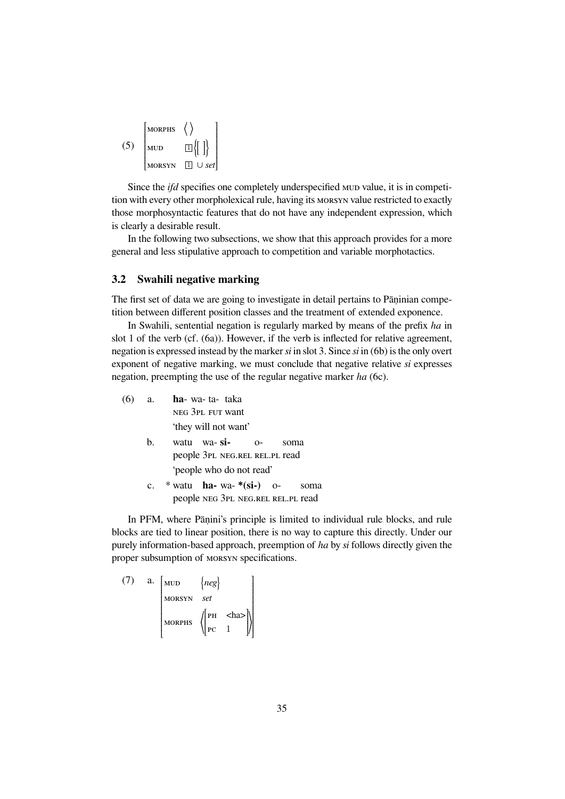| <b>MORPHS</b> |                               |
|---------------|-------------------------------|
| иUD           |                               |
| <b>MORSYN</b> | $\cup$ set  <br>$\mathbf{11}$ |

Since the *ifd* specifies one completely underspecified MUD value, it is in competition with every other morpholexical rule, having its MORSYN value restricted to exactly those morphosyntactic features that do not have any independent expression, which is clearly a desirable result.

In the following two subsections, we show that this approach provides for a more general and less stipulative approach to competition and variable morphotactics.

#### **3.2 Swahili negative marking**

The first set of data we are going to investigate in detail pertains to Pāṇinian competition between different position classes and the treatment of extended exponence.

In Swahili, sentential negation is regularly marked by means of the prefix *ha* in slot 1 of the verb (cf. (6a)). However, if the verb is inflected for relative agreement, negation is expressed instead by the marker *si* in slot 3. Since *si* in (6b) is the only overt exponent of negative marking, we must conclude that negative relative *si* expresses negation, preempting the use of the regular negative marker *ha* (6c).

| (6) | a. | ha- wa-ta-taka                   |      |      |      |
|-----|----|----------------------------------|------|------|------|
|     |    | NEG 3PL FUT Want                 |      |      |      |
|     |    | 'they will not want'             |      |      |      |
|     | b. | watu wa-si-                      | $O-$ | soma |      |
|     |    | people 3PL NEG.REL REL.PL read   |      |      |      |
|     |    | 'people who do not read'         |      |      |      |
|     |    | * watu <b>ha</b> - wa- *(si-) o- |      |      | soma |

people NEG 3PL NEG.REL REL.PL read

In PFM, where Pāṇini's principle is limited to individual rule blocks, and rule blocks are tied to linear position, there is no way to capture this directly. Under our purely information-based approach, preemption of *ha* by *si* follows directly given the proper subsumption of MORSYN specifications.

(7) a.  $\lceil_{MUD} \rceil$   $\{neg\}$  ♫♭♰♱♷♬ *set* MORPHS  $\sqrt{\begin{vmatrix} PH & <&h> \end{vmatrix}}$  $\overline{\phantom{a}}$  $pc \quad 1$  ⟩  $\begin{array}{c} \hline \end{array}$  $\overline{\phantom{a}}$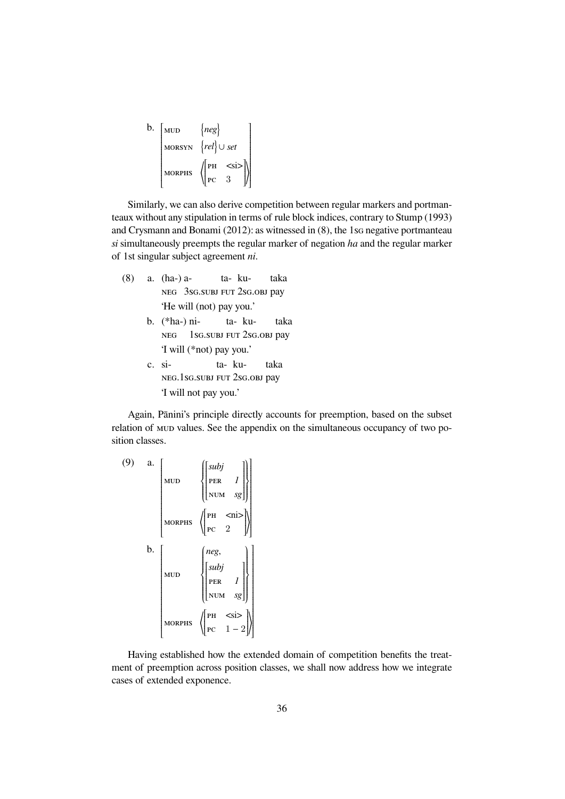| b. | <b>MUD</b>    | $\{neg\}$                   |
|----|---------------|-----------------------------|
|    | <b>MORSYN</b> | $\{rel\} \cup set$          |
|    | <b>MORPHS</b> | $ PH \leq s$ i><br>-3<br>PC |

Similarly, we can also derive competition between regular markers and portmanteaux without any stipulation in terms of rule block indices, contrary to Stump (1993) and Crysmann and Bonami (2012): as witnessed in  $(8)$ , the 1sG negative portmanteau *si* simultaneously preempts the regular marker of negation *ha* and the regular marker of 1st singular subject agreement *ni*.

- (8) a. (ha-) a-NEG 3sG.SUBJ FUT 2sG.OBJ pay ta- kutaka 'He will (not) pay you.'
	- b. (\*ha-) ni-NEG 1sG.SUBJ FUT 2sG.OBJ pay ta- kutaka 'I will (\*not) pay you.'
	- c. si- NEG.1sG.SUBJ FUT 2sG.OBJ pay ta- kutaka 'I will not pay you.'

Again, Pānini's principle directly accounts for preemption, based on the subset relation of MUD values. See the appendix on the simultaneous occupancy of two position classes.

(9) a.   
\n
$$
\begin{bmatrix}\n\text{MUD} & \left\{\begin{bmatrix}\n\text{subj} & & \\
\text{PER} & I \\
\text{NUM} & \text{sg}\n\end{bmatrix}\right\} \\
\text{MORPHS} & \left\{\begin{bmatrix}\n\text{PH} & \text{<} \text{ni} & \\
\text{PC} & 2 & \\
\text{PCE} & 2 & \\
\text{NUD} & \left\{\begin{bmatrix}\n\text{subj} & \\
\text{subj} & \\
\text{PER} & I \\
\text{NUM} & \text{sg}\n\end{bmatrix}\right\} \\
\text{MORDHS} & \left\{\begin{bmatrix}\n\text{H} & \text{<} \text{ni} & \\
\text{PER} & I \\
\text{NUM} & \text{sg}\n\end{bmatrix}\right\} \\
\text{MORPHS} & \left\{\begin{bmatrix}\n\text{PH} & \text{<} \text{si} & \\
\text{PER} & 1 & \\
\text{PC} & 1 & -2\n\end{bmatrix}\n\end{bmatrix}\n\right.
$$

Having established how the extended domain of competition benefits the treatment of preemption across position classes, we shall now address how we integrate cases of extended exponence.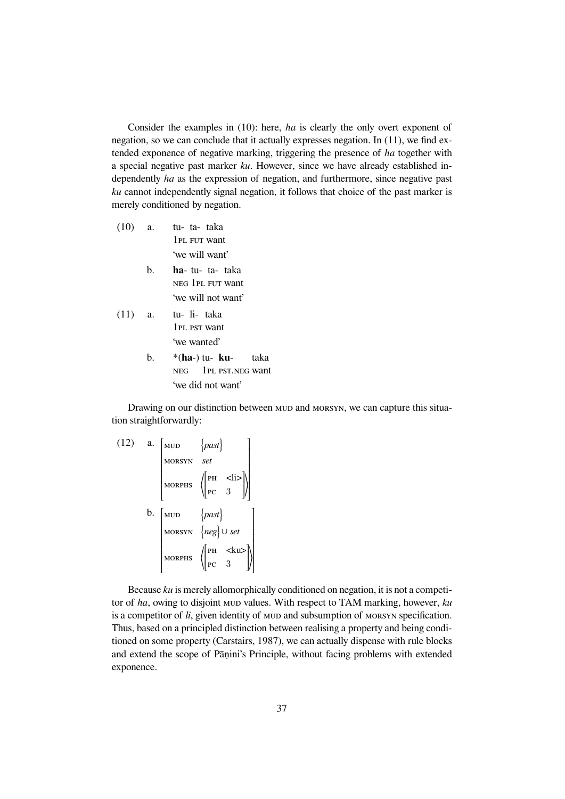Consider the examples in (10): here, *ha* is clearly the only overt exponent of negation, so we can conclude that it actually expresses negation. In (11), we find extended exponence of negative marking, triggering the presence of *ha* together with a special negative past marker *ku*. However, since we have already established independently *ha* as the expression of negation, and furthermore, since negative past *ku* cannot independently signal negation, it follows that choice of the past marker is merely conditioned by negation.

- $(10)$  a. 1PL FUT want ta- taka 'we will want'
	- b. **ha** tu-ta- taka NEG 1PL FUT want 'we will not want'
- $(11)$  a. 1PL PST want li- taka 'we wanted'
	- b. \*(**ha**-) tu-**ku** NEG 1PL PST.NEG want taka 'we did not want'

Drawing on our distinction between MUD and MORSYN, we can capture this situation straightforwardly:

(12) a. 
$$
\begin{bmatrix} \text{MUD} & \{past \} \\ \text{MORSYN} & set \\ \text{MORFHS} & \left( \begin{bmatrix} \text{PH} & & & \\ \text{PE} & 3 & \\ \text{PC} & 3 & \end{bmatrix} \right) \end{bmatrix}
$$
  
b. 
$$
\begin{bmatrix} \text{MUD} & \{ past \} \\ \text{MORSYN} & \{neg \} \\ \text{MORSYN} & \{neg \} \\ \text{MORSYN} & \{neg \} \\ \text{PORFHS} & \left( \begin{bmatrix} \text{PH} & & & \\ \text{PE} & 3 & \\ \text{PC} & 3 & \end{bmatrix} \right) \end{bmatrix}
$$

Because *ku* is merely allomorphically conditioned on negation, it is not a competitor of *ha*, owing to disjoint MUD values. With respect to TAM marking, however, *ku* is a competitor of *li*, given identity of MUD and subsumption of MORSYN specification. Thus, based on a principled distinction between realising a property and being conditioned on some property (Carstairs, 1987), we can actually dispense with rule blocks and extend the scope of Pāṇini's Principle, without facing problems with extended exponence.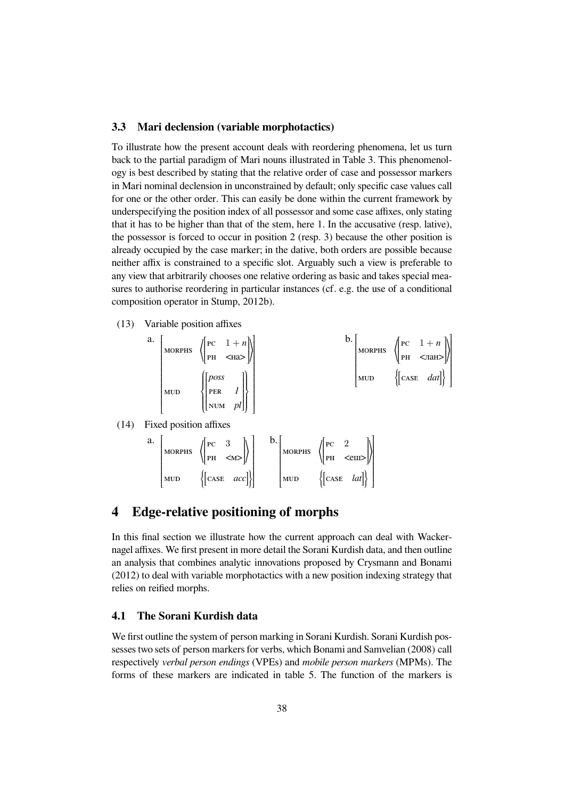#### **3.3 Mari declension (variable morphotactics)**

To illustrate how the present account deals with reordering phenomena, let us turn back to the partial paradigm of Mari nouns illustrated in Table 3. This phenomenology is best described by stating that the relative order of case and possessor markers in Mari nominal declension in unconstrained by default; only specific case values call for one or the other order. This can easily be done within the current framework by underspecifying the position index of all possessor and some case affixes, only stating that it has to be higher than that of the stem, here 1. In the accusative (resp. lative), the possessor is forced to occur in position 2 (resp. 3) because the other position is already occupied by the case marker; in the dative, both orders are possible because neither affix is constrained to a specific slot. Arguably such a view is preferable to any view that arbitrarily chooses one relative ordering as basic and takes special measures to authorise reordering in particular instances (cf. e.g. the use of a conditional composition operator in Stump, 2012b).

(13) Variable position affixes

a. [MORPHS 
$$
\begin{pmatrix} pc & 1+n \\ pH &  $tan > \end{pmatrix}$  ]  
\nMUD  $\begin{pmatrix} \begin{bmatrix} poss & 1 \\ PER & 1 \\ NUM & pl \end{bmatrix} \end{pmatrix}$  ]
$$

#### (14) Fixed position affixes

| a. | <b>MORPHS</b> | I PC<br><m><br/>l PH</m> | <b>MORPHS</b> | PC<br>$<$ еш><br>† PH |
|----|---------------|--------------------------|---------------|-----------------------|
|    | <b>MUD</b>    | $ CASE \quad acc $       | MUD           | <b>CASE</b>           |

## **4 Edge-relative positioning of morphs**

In this final section we illustrate how the current approach can deal with Wackernagel affixes. We first present in more detail the Sorani Kurdish data, and then outline an analysis that combines analytic innovations proposed by Crysmann and Bonami (2012) to deal with variable morphotactics with a new position indexing strategy that relies on reified morphs.

#### **4.1 The Sorani Kurdish data**

We first outline the system of person marking in Sorani Kurdish. Sorani Kurdish possesses two sets of person markers for verbs, which Bonami and Samvelian (2008) call respectively *verbal person endings* (VPEs) and *mobile person markers* (MPMs). The forms of these markers are indicated in table 5. The function of the markers is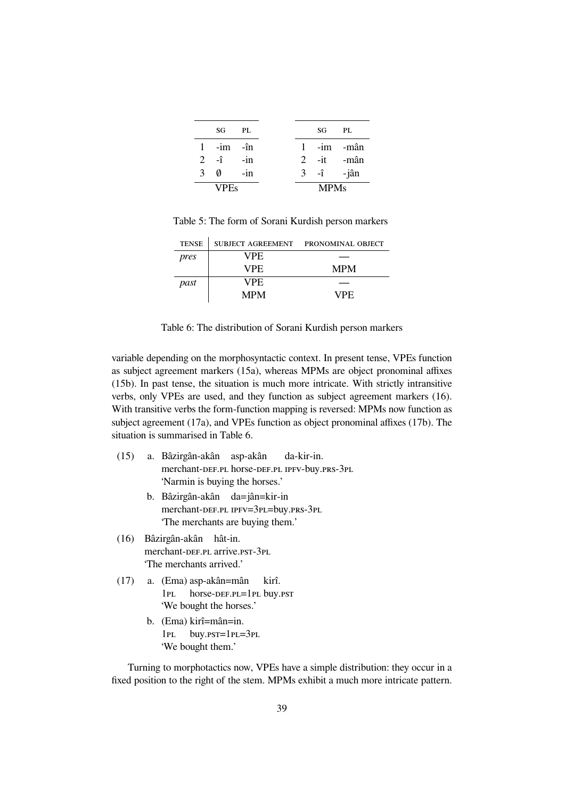|               | SG            | PL.   |  | SG                         | PL |
|---------------|---------------|-------|--|----------------------------|----|
|               | $1 - im - în$ |       |  | $1 - im$ -mân              |    |
|               | $2 - \hat{i}$ | $-in$ |  | 2 -it -mân                 |    |
| $\mathcal{F}$ | Ø             | $-in$ |  | $3 - \hat{i}$ $-i\hat{a}n$ |    |
|               | <b>VPEs</b>   |       |  | <b>MPMs</b>                |    |

Table 5: The form of Sorani Kurdish person markers

| <b>TENSE</b> |            | SUBJECT AGREEMENT PRONOMINAL OBJECT |  |
|--------------|------------|-------------------------------------|--|
| pres         | VPE.       |                                     |  |
|              | VPE.       | <b>MPM</b>                          |  |
| past         | VPE.       |                                     |  |
|              | <b>MPM</b> | VPE.                                |  |

Table 6: The distribution of Sorani Kurdish person markers

variable depending on the morphosyntactic context. In present tense, VPEs function as subject agreement markers (15a), whereas MPMs are object pronominal affixes (15b). In past tense, the situation is much more intricate. With strictly intransitive verbs, only VPEs are used, and they function as subject agreement markers (16). With transitive verbs the form-function mapping is reversed: MPMs now function as subject agreement (17a), and VPEs function as object pronominal affixes (17b). The situation is summarised in Table 6.

- (15) a. Bâzirgân-akân asp-akân merchant-DEF.PL horse-DEF.PL IPFV-buy.PRS-3PL da-kir-in. 'Narmin is buying the horses.'
	- b. Bâzirgân-akân da=jân=kir-in merchant-DEF.PL IPFV=3PL=buy.PRS-3PL 'The merchants are buying them.'
- (16) Bâzirgân-akân hât-in. merchant-DEF.PL arrive.PST-3PL 'The merchants arrived.'
- (17) a. (Ema) asp-akân=mân  $1PL$ horse-DEF.PL=1PL buy.pst kirî. 'We bought the horses.'
	- b. (Ema) kirî=mân=in.  $1PL$ buy.pst=1pL=3pL 'We bought them.'

Turning to morphotactics now, VPEs have a simple distribution: they occur in a fixed position to the right of the stem. MPMs exhibit a much more intricate pattern.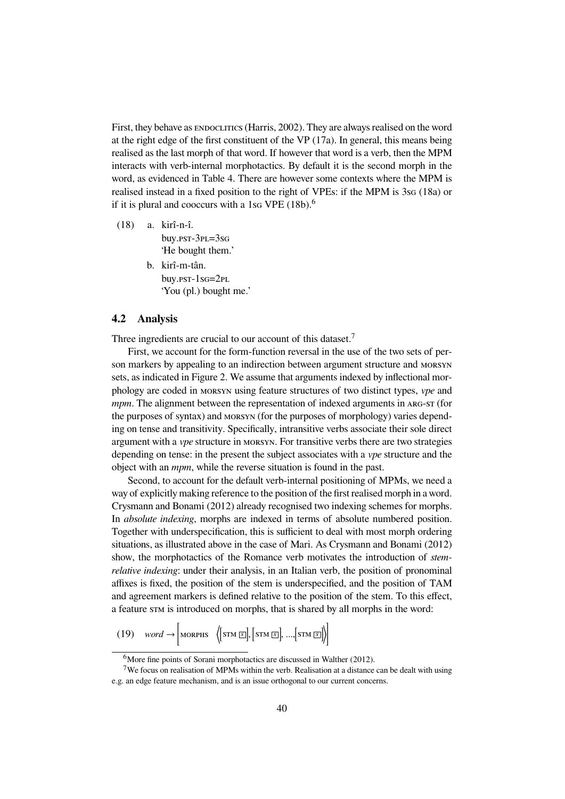First, they behave as ENDOCLITICS (Harris, 2002). They are always realised on the word at the right edge of the first constituent of the VP (17a). In general, this means being realised as the last morph of that word. If however that word is a verb, then the MPM interacts with verb-internal morphotactics. By default it is the second morph in the word, as evidenced in Table 4. There are however some contexts where the MPM is realised instead in a fixed position to the right of VPEs: if the MPM is  $3sG (18a)$  or if it is plural and cooccurs with a 1sq VPE  $(18b)$ .<sup>6</sup>

(18) a. kirî-n-î. buy.pst-3pL=3sG 'He bought them.'

> b. kirî-m-tân. buy.pst-1sG=2<sub>PL</sub> 'You (pl.) bought me.'

#### **4.2 Analysis**

Three ingredients are crucial to our account of this dataset.<sup>7</sup>

First, we account for the form-function reversal in the use of the two sets of person markers by appealing to an indirection between argument structure and MORSYN sets, as indicated in Figure 2. We assume that arguments indexed by inflectional morphology are coded in ♫♭♰♱♷♬ using feature structures of two distinct types, *vpe* and *mpm*. The alignment between the representation of indexed arguments in ARG-ST (for the purposes of syntax) and MORSYN (for the purposes of morphology) varies depending on tense and transitivity. Specifically, intransitive verbs associate their sole direct argument with a *vpe* structure in MORSYN. For transitive verbs there are two strategies depending on tense: in the present the subject associates with a *vpe* structure and the object with an *mpm*, while the reverse situation is found in the past.

Second, to account for the default verb-internal positioning of MPMs, we need a way of explicitly making reference to the position of the first realised morph in a word. Crysmann and Bonami (2012) already recognised two indexing schemes for morphs. In *absolute indexing*, morphs are indexed in terms of absolute numbered position. Together with underspecification, this is sufficient to deal with most morph ordering situations, as illustrated above in the case of Mari. As Crysmann and Bonami (2012) show, the morphotactics of the Romance verb motivates the introduction of *stemrelative indexing*: under their analysis, in an Italian verb, the position of pronominal affixes is fixed, the position of the stem is underspecified, and the position of TAM and agreement markers is defined relative to the position of the stem. To this effect, a feature stat is introduced on morphs, that is shared by all morphs in the word:

(19)  $\quad word \rightarrow \left[ \text{mompis} \ \left\langle \left[ \text{sim} \boxdot \right], \left[ \text{sim} \boxdot \right], ... , \left[ \text{sim} \boxdot \right] \right\rangle \right]$ 

<sup>&</sup>lt;sup>6</sup>More fine points of Sorani morphotactics are discussed in Walther (2012).

<sup>7</sup>We focus on realisation of MPMs within the verb. Realisation at a distance can be dealt with using e.g. an edge feature mechanism, and is an issue orthogonal to our current concerns.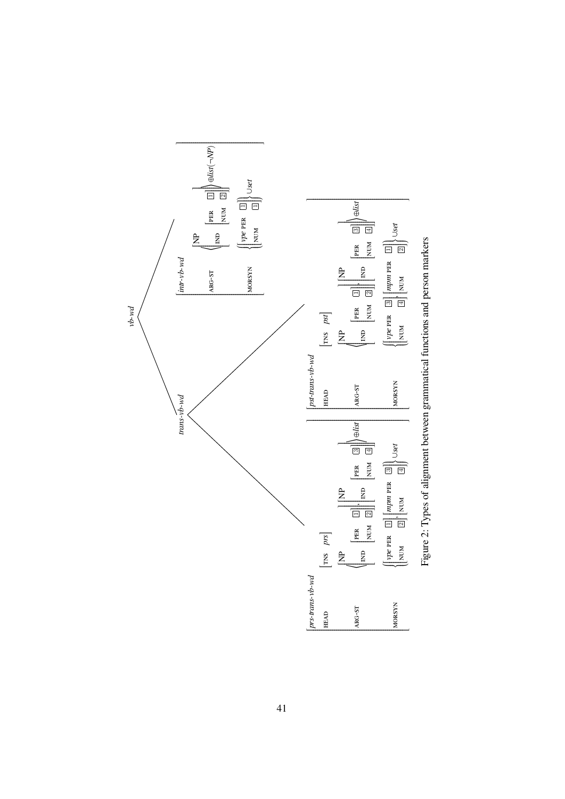

Figure 2: Types of alignment between grammatical functions and person markers Figure 2: Types of alignment between grammatical functions and person markers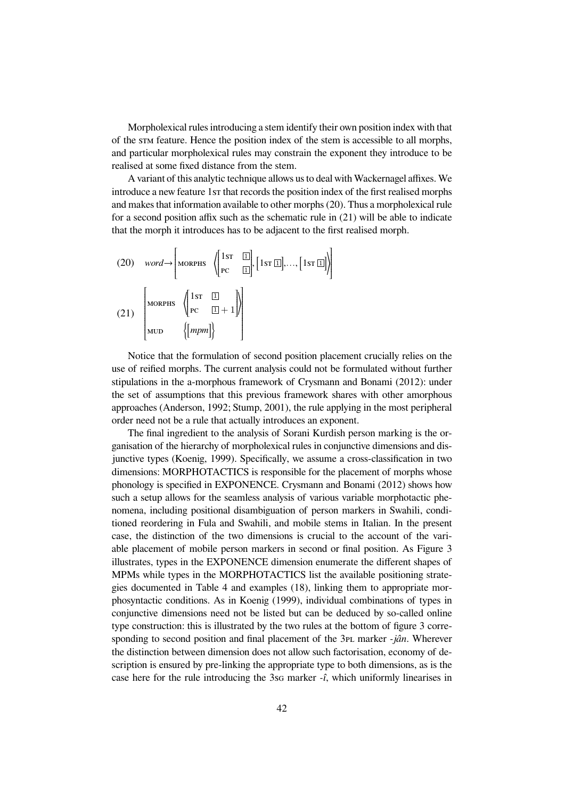Morpholexical rules introducing a stem identify their own position index with that of the stature. Hence the position index of the stem is accessible to all morphs, and particular morpholexical rules may constrain the exponent they introduce to be realised at some fixed distance from the stem.

A variant of this analytic technique allows us to deal with Wackernagel affixes. We introduce a new feature 1st that records the position index of the first realised morphs and makes that information available to other morphs (20). Thus a morpholexical rule for a second position affix such as the schematic rule in (21) will be able to indicate that the morph it introduces has to be adjacent to the first realised morph.

(20) word 
$$
\rightarrow
$$
 [MORPHS  $\left\{ \begin{bmatrix} 1 \text{ST} & \boxed{1} \\ \text{PC} & \boxed{1} \end{bmatrix}, [1 \text{ST } \boxed{1}]\right\}$   
\n(21)  $\left\{ \begin{bmatrix} \text{MORPHS} & \left( \begin{bmatrix} 1 \text{ST} & \boxed{1} \\ \text{PC} & \boxed{1} + 1 \end{bmatrix} \right) \\ \text{MUD} & \left\{ \begin{bmatrix} \text{mpm} \end{bmatrix} \right\} \end{bmatrix} \right\}$ 

Notice that the formulation of second position placement crucially relies on the use of reified morphs. The current analysis could not be formulated without further stipulations in the a-morphous framework of Crysmann and Bonami (2012): under the set of assumptions that this previous framework shares with other amorphous approaches (Anderson, 1992; Stump, 2001), the rule applying in the most peripheral order need not be a rule that actually introduces an exponent.

The final ingredient to the analysis of Sorani Kurdish person marking is the organisation of the hierarchy of morpholexical rules in conjunctive dimensions and disjunctive types (Koenig, 1999). Specifically, we assume a cross-classification in two dimensions: MORPHOTACTICS is responsible for the placement of morphs whose phonology is specified in EXPONENCE. Crysmann and Bonami (2012) shows how such a setup allows for the seamless analysis of various variable morphotactic phenomena, including positional disambiguation of person markers in Swahili, conditioned reordering in Fula and Swahili, and mobile stems in Italian. In the present case, the distinction of the two dimensions is crucial to the account of the variable placement of mobile person markers in second or final position. As Figure 3 illustrates, types in the EXPONENCE dimension enumerate the different shapes of MPMs while types in the MORPHOTACTICS list the available positioning strategies documented in Table 4 and examples (18), linking them to appropriate morphosyntactic conditions. As in Koenig (1999), individual combinations of types in conjunctive dimensions need not be listed but can be deduced by so-called online type construction: this is illustrated by the two rules at the bottom of figure 3 corresponding to second position and final placement of the 3<sub>PL</sub> marker *-jân*. Wherever the distinction between dimension does not allow such factorisation, economy of description is ensured by pre-linking the appropriate type to both dimensions, as is the case here for the rule introducing the 3sq marker  $-\hat{i}$ , which uniformly linearises in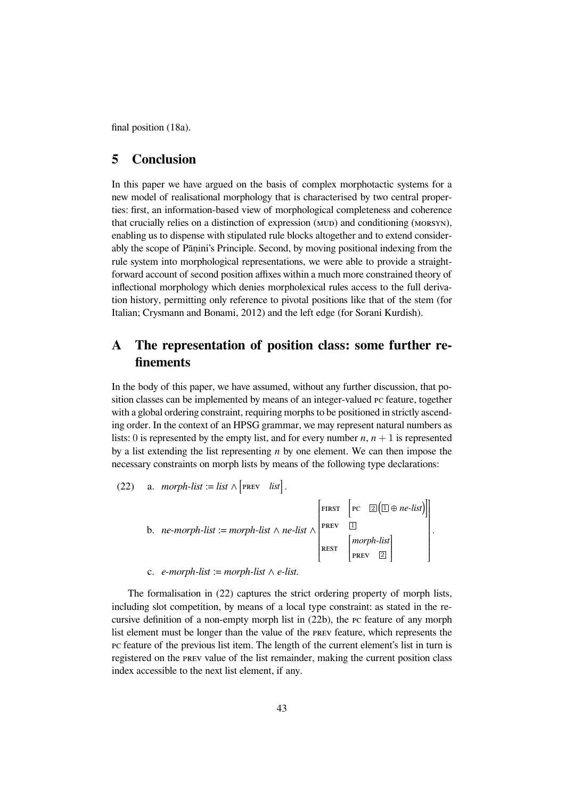final position (18a).

## **5 Conclusion**

In this paper we have argued on the basis of complex morphotactic systems for a new model of realisational morphology that is characterised by two central properties: first, an information-based view of morphological completeness and coherence that crucially relies on a distinction of expression (MUD) and conditioning (MORSYN), enabling us to dispense with stipulated rule blocks altogether and to extend considerably the scope of Pāṇini's Principle. Second, by moving positional indexing from the rule system into morphological representations, we were able to provide a straightforward account of second position affixes within a much more constrained theory of inflectional morphology which denies morpholexical rules access to the full derivation history, permitting only reference to pivotal positions like that of the stem (for Italian; Crysmann and Bonami, 2012) and the left edge (for Sorani Kurdish).

## **A The representation of position class: some further refinements**

In the body of this paper, we have assumed, without any further discussion, that position classes can be implemented by means of an integer-valued PC feature, together with a global ordering constraint, requiring morphs to be positioned in strictly ascending order. In the context of an HPSG grammar, we may represent natural numbers as lists: 0 is represented by the empty list, and for every number  $n$ ,  $n + 1$  is represented by a list extending the list representing *n* by one element. We can then impose the necessary constraints on morph lists by means of the following type declarations:

(22) a. *morph-list* := list 
$$
\wedge
$$
 [PREv list].  
\nb. *ne-morph-list* := *morph-list*  $\wedge$  *ne-list*  $\wedge$  [PREv  $\Box$   
\nREV  $\Box$   
\nREST  $\begin{bmatrix} \text{PREV} & \Box \\ \text{PREV} & \Box \\ \text{PREV} & \Box \end{bmatrix}$   
\nc. *e-morph-list* := *morph-list*  $\wedge$  *e-list*.

Ì

 .

The formalisation in (22) captures the strict ordering property of morph lists, including slot competition, by means of a local type constraint: as stated in the recursive definition of a non-empty morph list in  $(22b)$ , the  $\bar{P}$  feature of any morph list element must be longer than the value of the PREV feature, which represents the pc feature of the previous list item. The length of the current element's list in turn is registered on the PREV value of the list remainder, making the current position class index accessible to the next list element, if any.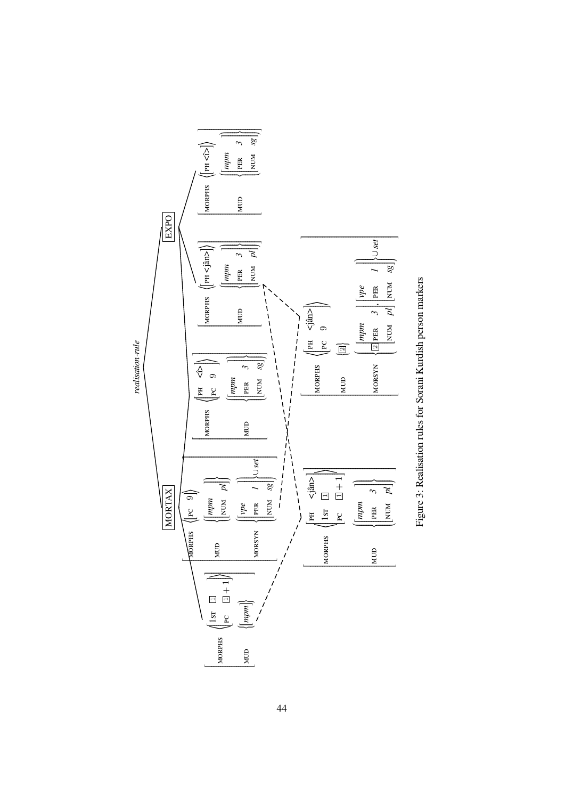

Figure 3: Realisation rules for Sorani Kurdish person markers Figure 3: Realisation rules for Sorani Kurdish person markers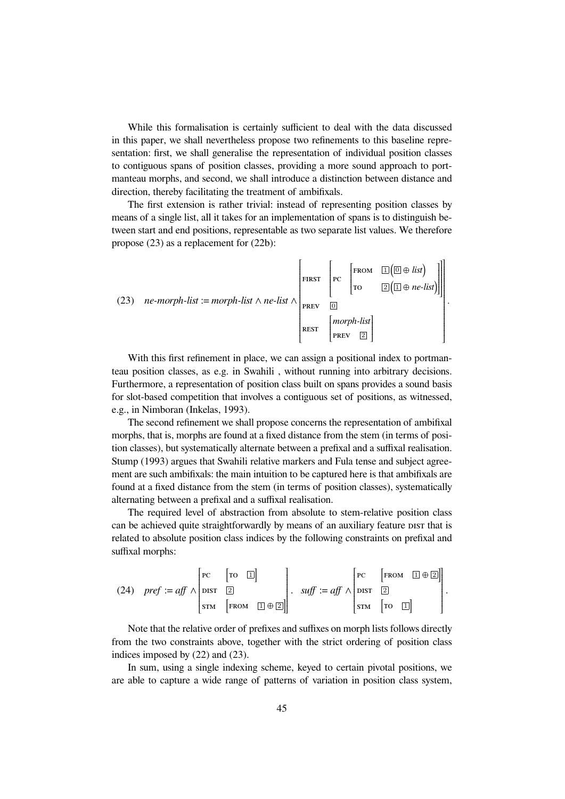While this formalisation is certainly sufficient to deal with the data discussed in this paper, we shall nevertheless propose two refinements to this baseline representation: first, we shall generalise the representation of individual position classes to contiguous spans of position classes, providing a more sound approach to portmanteau morphs, and second, we shall introduce a distinction between distance and direction, thereby facilitating the treatment of ambifixals.

The first extension is rather trivial: instead of representing position classes by means of a single list, all it takes for an implementation of spans is to distinguish between start and end positions, representable as two separate list values. We therefore propose (23) as a replacement for (22b):

(23) 
$$
ne{\text{-}morph-list} := morph-list \land ne-list \land \begin{bmatrix} \text{first} & \text{re} & \text{[FROM} & \text{[I}(\text{I} \oplus \text{list}) & \text{[II]}\\ \text{ro} & \text{[2]}(\text{I} \oplus \text{ne-list}) & \text{[II]}\\ \text{r} & \text{[II]} & \text{[II]}\\ \text{r} & \text{[II]} & \text{[II]}\\ \text{r} & \text{[III]} & \text{[III]}\\ \text{r} & \text{[III]} & \text{[III]} \end{bmatrix}
$$

With this first refinement in place, we can assign a positional index to portmanteau position classes, as e.g. in Swahili , without running into arbitrary decisions. Furthermore, a representation of position class built on spans provides a sound basis for slot-based competition that involves a contiguous set of positions, as witnessed, e.g., in Nimboran (Inkelas, 1993).

The second refinement we shall propose concerns the representation of ambifixal morphs, that is, morphs are found at a fixed distance from the stem (in terms of position classes), but systematically alternate between a prefixal and a suffixal realisation. Stump (1993) argues that Swahili relative markers and Fula tense and subject agreement are such ambifixals: the main intuition to be captured here is that ambifixals are found at a fixed distance from the stem (in terms of position classes), systematically alternating between a prefixal and a suffixal realisation.

The required level of abstraction from absolute to stem-relative position class can be achieved quite straightforwardly by means of an auxiliary feature pist that is related to absolute position class indices by the following constraints on prefixal and suffixal morphs:

(24) 
$$
pref := aff \wedge \begin{bmatrix} pc & [ro \ \Box \end{bmatrix}
$$
  
 $sm \begin{bmatrix} rc & [ro \ \Box \end{bmatrix}$   
 $sm \begin{bmatrix} rc & [FROM \ \Box \end{bmatrix}$   
 $sm \begin{bmatrix} FROM & \Box \end{bmatrix} \oplus \boxed{2}$   
 $sm \begin{bmatrix} FROM & \Box \end{bmatrix} \oplus \boxed{2}$ 

Note that the relative order of prefixes and suffixes on morph lists follows directly from the two constraints above, together with the strict ordering of position class indices imposed by (22) and (23).

In sum, using a single indexing scheme, keyed to certain pivotal positions, we are able to capture a wide range of patterns of variation in position class system,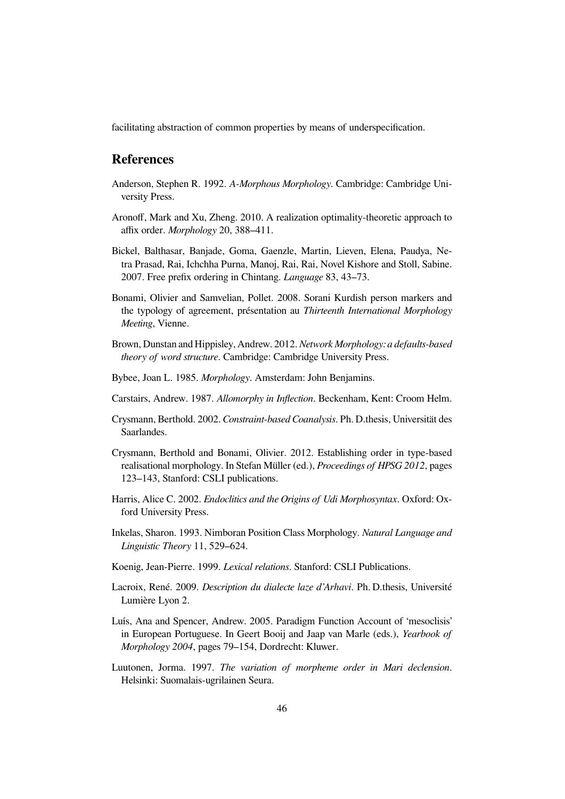facilitating abstraction of common properties by means of underspecification.

## **References**

- Anderson, Stephen R. 1992. *A-Morphous Morphology*. Cambridge: Cambridge University Press.
- Aronoff, Mark and Xu, Zheng. 2010. A realization optimality-theoretic approach to affix order. *Morphology* 20, 388–411.
- Bickel, Balthasar, Banjade, Goma, Gaenzle, Martin, Lieven, Elena, Paudya, Netra Prasad, Rai, Ichchha Purna, Manoj, Rai, Rai, Novel Kishore and Stoll, Sabine. 2007. Free prefix ordering in Chintang. *Language* 83, 43–73.
- Bonami, Olivier and Samvelian, Pollet. 2008. Sorani Kurdish person markers and the typology of agreement, présentation au *Thirteenth International Morphology Meeting*, Vienne.
- Brown, Dunstan and Hippisley, Andrew. 2012.*Network Morphology: a defaults-based theory of word structure*. Cambridge: Cambridge University Press.
- Bybee, Joan L. 1985. *Morphology*. Amsterdam: John Benjamins.
- Carstairs, Andrew. 1987. *Allomorphy in Inflection*. Beckenham, Kent: Croom Helm.
- Crysmann, Berthold. 2002. *Constraint-based Coanalysis*. Ph. D.thesis, Universität des Saarlandes.
- Crysmann, Berthold and Bonami, Olivier. 2012. Establishing order in type-based realisational morphology. In Stefan Müller (ed.), *Proceedings of HPSG 2012*, pages 123–143, Stanford: CSLI publications.
- Harris, Alice C. 2002. *Endoclitics and the Origins of Udi Morphosyntax*. Oxford: Oxford University Press.
- Inkelas, Sharon. 1993. Nimboran Position Class Morphology. *Natural Language and Linguistic Theory* 11, 529–624.
- Koenig, Jean-Pierre. 1999. *Lexical relations*. Stanford: CSLI Publications.
- Lacroix, René. 2009. *Description du dialecte laze d'Arhavi*. Ph. D.thesis, Université Lumière Lyon 2.
- Luís, Ana and Spencer, Andrew. 2005. Paradigm Function Account of 'mesoclisis' in European Portuguese. In Geert Booij and Jaap van Marle (eds.), *Yearbook of Morphology 2004*, pages 79–154, Dordrecht: Kluwer.
- Luutonen, Jorma. 1997. *The variation of morpheme order in Mari declension*. Helsinki: Suomalais-ugrilainen Seura.